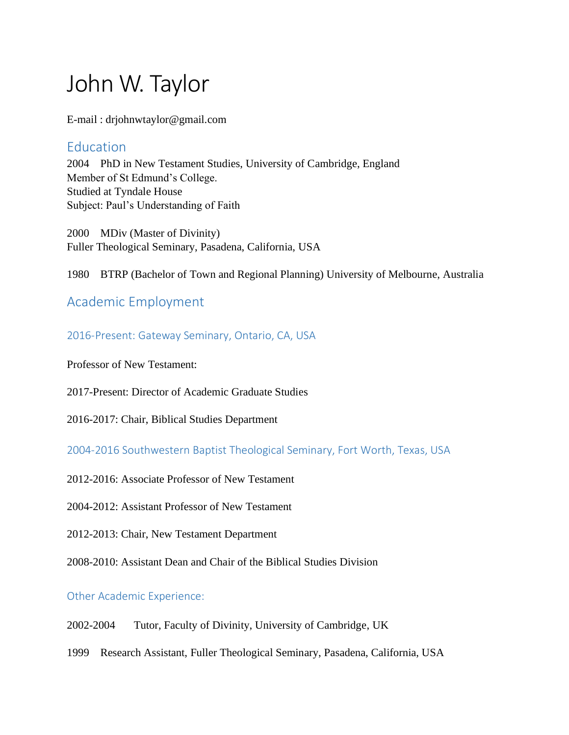# John W. Taylor

E-mail : drjohnwtaylor@gmail.com

## **Education**

2004 PhD in New Testament Studies, University of Cambridge, England Member of St Edmund's College. Studied at Tyndale House Subject: Paul's Understanding of Faith

2000 MDiv (Master of Divinity) Fuller Theological Seminary, Pasadena, California, USA

1980 BTRP (Bachelor of Town and Regional Planning) University of Melbourne, Australia

# Academic Employment

## 2016-Present: Gateway Seminary, Ontario, CA, USA

Professor of New Testament:

2017-Present: Director of Academic Graduate Studies

2016-2017: Chair, Biblical Studies Department

2004-2016 Southwestern Baptist Theological Seminary, Fort Worth, Texas, USA

2012-2016: Associate Professor of New Testament

2004-2012: Assistant Professor of New Testament

2012-2013: Chair, New Testament Department

2008-2010: Assistant Dean and Chair of the Biblical Studies Division

Other Academic Experience:

- 2002-2004 Tutor, Faculty of Divinity, University of Cambridge, UK
- 1999 Research Assistant, Fuller Theological Seminary, Pasadena, California, USA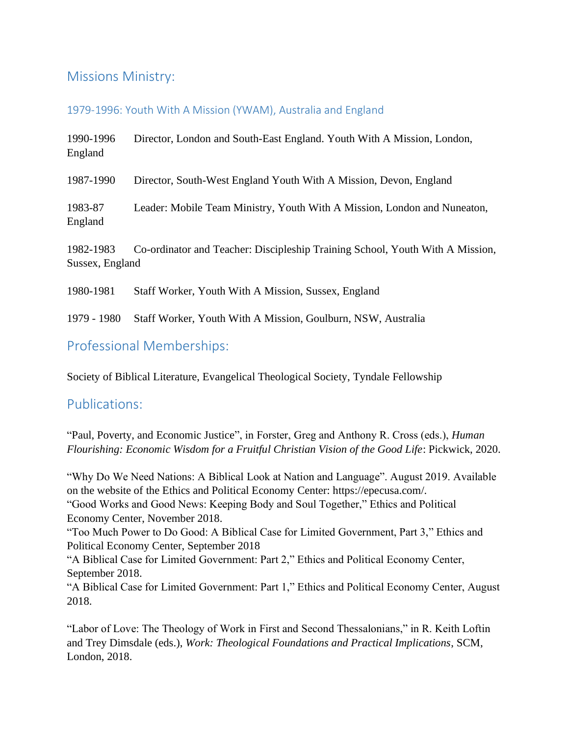# Missions Ministry:

#### 1979-1996: Youth With A Mission (YWAM), Australia and England

| 1990-1996<br>England         | Director, London and South-East England. Youth With A Mission, London,        |
|------------------------------|-------------------------------------------------------------------------------|
| 1987-1990                    | Director, South-West England Youth With A Mission, Devon, England             |
| 1983-87<br>England           | Leader: Mobile Team Ministry, Youth With A Mission, London and Nuneaton,      |
| 1982-1983<br>Sussex, England | Co-ordinator and Teacher: Discipleship Training School, Youth With A Mission, |
| 1980-1981                    | Staff Worker, Youth With A Mission, Sussex, England                           |
| 1979 - 1980                  | Staff Worker, Youth With A Mission, Goulburn, NSW, Australia                  |

# Professional Memberships:

Society of Biblical Literature, Evangelical Theological Society, Tyndale Fellowship

## Publications:

"Paul, Poverty, and Economic Justice", in Forster, Greg and Anthony R. Cross (eds.), *Human Flourishing: Economic Wisdom for a Fruitful Christian Vision of the Good Life*: Pickwick, 2020.

"Why Do We Need Nations: A Biblical Look at Nation and Language". August 2019. Available on the website of the Ethics and Political Economy Center: https://epecusa.com/. "Good Works and Good News: Keeping Body and Soul Together," Ethics and Political Economy Center, November 2018. "Too Much Power to Do Good: A Biblical Case for Limited Government, Part 3," Ethics and Political Economy Center, September 2018 "A Biblical Case for Limited Government: Part 2," Ethics and Political Economy Center, September 2018. "A Biblical Case for Limited Government: Part 1," Ethics and Political Economy Center, August 2018.

"Labor of Love: The Theology of Work in First and Second Thessalonians," in R. Keith Loftin and Trey Dimsdale (eds.), *Work: Theological Foundations and Practical Implications*, SCM, London, 2018.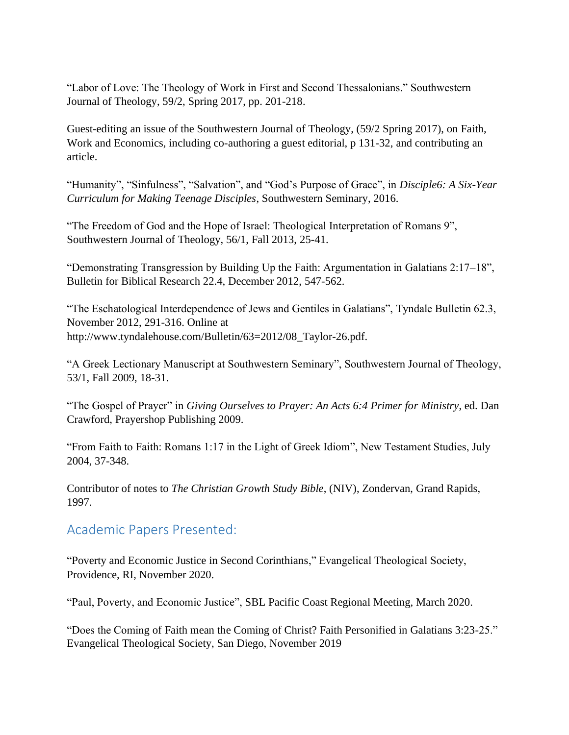"Labor of Love: The Theology of Work in First and Second Thessalonians." Southwestern Journal of Theology, 59/2, Spring 2017, pp. 201-218.

Guest-editing an issue of the Southwestern Journal of Theology, (59/2 Spring 2017), on Faith, Work and Economics, including co-authoring a guest editorial, p 131-32, and contributing an article.

"Humanity", "Sinfulness", "Salvation", and "God's Purpose of Grace", in *Disciple6: A Six-Year Curriculum for Making Teenage Disciples*, Southwestern Seminary, 2016.

"The Freedom of God and the Hope of Israel: Theological Interpretation of Romans 9", Southwestern Journal of Theology, 56/1, Fall 2013, 25-41.

"Demonstrating Transgression by Building Up the Faith: Argumentation in Galatians 2:17–18", Bulletin for Biblical Research 22.4, December 2012, 547-562.

"The Eschatological Interdependence of Jews and Gentiles in Galatians", Tyndale Bulletin 62.3, November 2012, 291-316. Online at http://www.tyndalehouse.com/Bulletin/63=2012/08\_Taylor-26.pdf.

"A Greek Lectionary Manuscript at Southwestern Seminary", Southwestern Journal of Theology, 53/1, Fall 2009, 18-31.

"The Gospel of Prayer" in *Giving Ourselves to Prayer: An Acts 6:4 Primer for Ministry*, ed. Dan Crawford, Prayershop Publishing 2009.

"From Faith to Faith: Romans 1:17 in the Light of Greek Idiom", New Testament Studies, July 2004, 37-348.

Contributor of notes to *The Christian Growth Study Bible*, (NIV), Zondervan, Grand Rapids, 1997.

## Academic Papers Presented:

"Poverty and Economic Justice in Second Corinthians," Evangelical Theological Society, Providence, RI, November 2020.

"Paul, Poverty, and Economic Justice", SBL Pacific Coast Regional Meeting, March 2020.

"Does the Coming of Faith mean the Coming of Christ? Faith Personified in Galatians 3:23-25." Evangelical Theological Society, San Diego, November 2019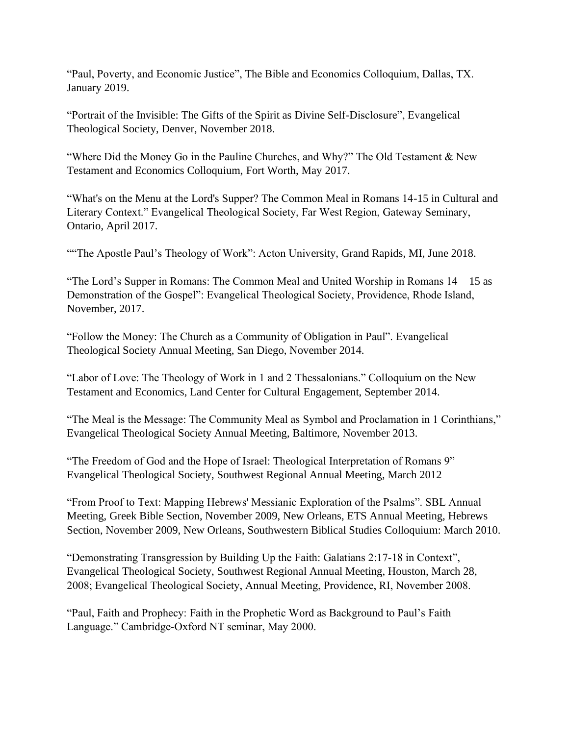"Paul, Poverty, and Economic Justice", The Bible and Economics Colloquium, Dallas, TX. January 2019.

"Portrait of the Invisible: The Gifts of the Spirit as Divine Self-Disclosure", Evangelical Theological Society, Denver, November 2018.

"Where Did the Money Go in the Pauline Churches, and Why?" The Old Testament & New Testament and Economics Colloquium, Fort Worth, May 2017.

"What's on the Menu at the Lord's Supper? The Common Meal in Romans 14-15 in Cultural and Literary Context." Evangelical Theological Society, Far West Region, Gateway Seminary, Ontario, April 2017.

"The Apostle Paul's Theology of Work": Acton University, Grand Rapids, MI, June 2018.

"The Lord's Supper in Romans: The Common Meal and United Worship in Romans 14—15 as Demonstration of the Gospel": Evangelical Theological Society, Providence, Rhode Island, November, 2017.

"Follow the Money: The Church as a Community of Obligation in Paul". Evangelical Theological Society Annual Meeting, San Diego, November 2014.

"Labor of Love: The Theology of Work in 1 and 2 Thessalonians." Colloquium on the New Testament and Economics, Land Center for Cultural Engagement, September 2014.

"The Meal is the Message: The Community Meal as Symbol and Proclamation in 1 Corinthians," Evangelical Theological Society Annual Meeting, Baltimore, November 2013.

"The Freedom of God and the Hope of Israel: Theological Interpretation of Romans 9" Evangelical Theological Society, Southwest Regional Annual Meeting, March 2012

"From Proof to Text: Mapping Hebrews' Messianic Exploration of the Psalms". SBL Annual Meeting, Greek Bible Section, November 2009, New Orleans, ETS Annual Meeting, Hebrews Section, November 2009, New Orleans, Southwestern Biblical Studies Colloquium: March 2010.

"Demonstrating Transgression by Building Up the Faith: Galatians 2:17-18 in Context", Evangelical Theological Society, Southwest Regional Annual Meeting, Houston, March 28, 2008; Evangelical Theological Society, Annual Meeting, Providence, RI, November 2008.

"Paul, Faith and Prophecy: Faith in the Prophetic Word as Background to Paul's Faith Language." Cambridge-Oxford NT seminar, May 2000.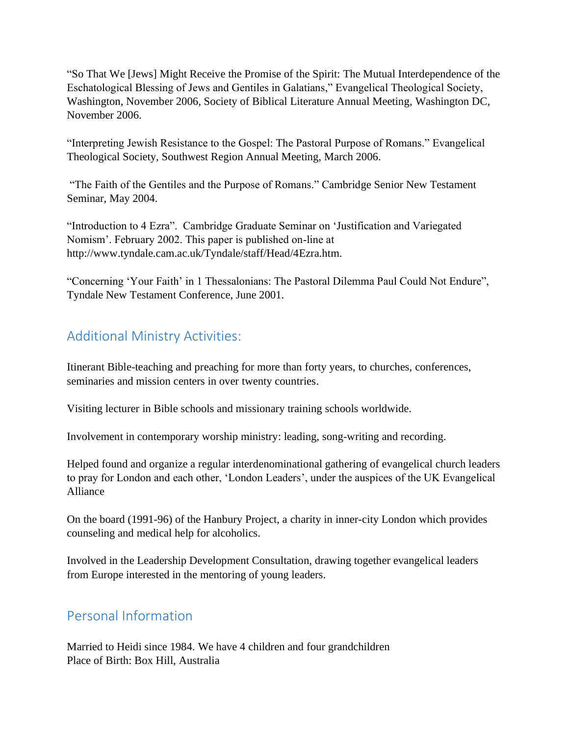"So That We [Jews] Might Receive the Promise of the Spirit: The Mutual Interdependence of the Eschatological Blessing of Jews and Gentiles in Galatians," Evangelical Theological Society, Washington, November 2006, Society of Biblical Literature Annual Meeting, Washington DC, November 2006.

"Interpreting Jewish Resistance to the Gospel: The Pastoral Purpose of Romans." Evangelical Theological Society, Southwest Region Annual Meeting, March 2006.

"The Faith of the Gentiles and the Purpose of Romans." Cambridge Senior New Testament Seminar, May 2004.

"Introduction to 4 Ezra". Cambridge Graduate Seminar on 'Justification and Variegated Nomism'. February 2002. This paper is published on-line at http://www.tyndale.cam.ac.uk/Tyndale/staff/Head/4Ezra.htm.

"Concerning 'Your Faith' in 1 Thessalonians: The Pastoral Dilemma Paul Could Not Endure", Tyndale New Testament Conference, June 2001.

# Additional Ministry Activities:

Itinerant Bible-teaching and preaching for more than forty years, to churches, conferences, seminaries and mission centers in over twenty countries.

Visiting lecturer in Bible schools and missionary training schools worldwide.

Involvement in contemporary worship ministry: leading, song-writing and recording.

Helped found and organize a regular interdenominational gathering of evangelical church leaders to pray for London and each other, 'London Leaders', under the auspices of the UK Evangelical Alliance

On the board (1991-96) of the Hanbury Project, a charity in inner-city London which provides counseling and medical help for alcoholics.

Involved in the Leadership Development Consultation, drawing together evangelical leaders from Europe interested in the mentoring of young leaders.

## Personal Information

Married to Heidi since 1984. We have 4 children and four grandchildren Place of Birth: Box Hill, Australia